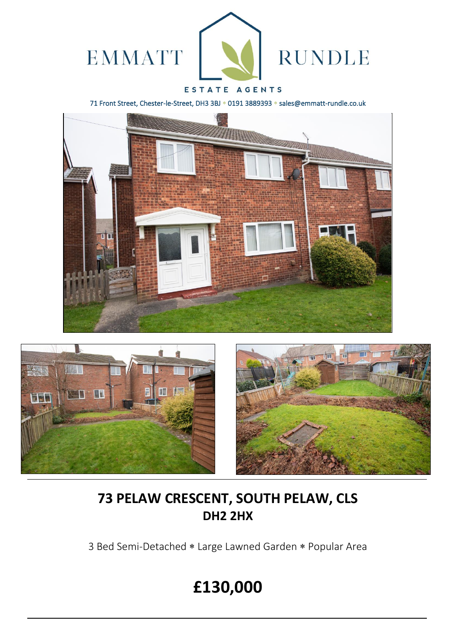

### ESTATE AGENTS

71 Front Street, Chester-le-Street, DH3 3BJ \* 0191 3889393 \* sales@emmatt-rundle.co.uk







# **73 PELAW CRESCENT, SOUTH PELAW, CLS DH2 2HX**

3 Bed Semi-Detached \* Large Lawned Garden \* Popular Area

# **£130,000**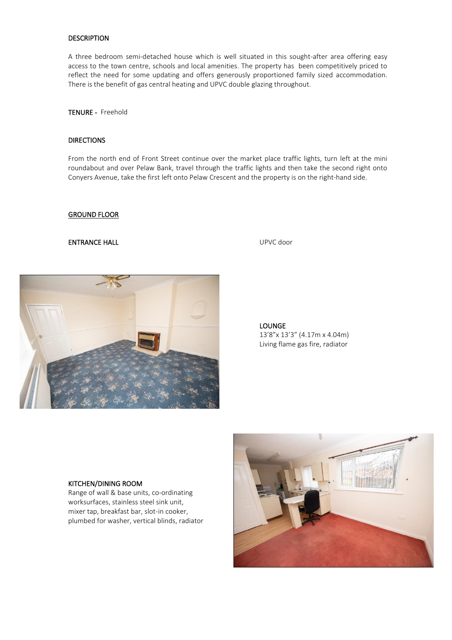### DESCRIPTION

A three bedroom semi-detached house which is well situated in this sought-after area offering easy access to the town centre, schools and local amenities. The property has been competitively priced to reflect the need for some updating and offers generously proportioned family sized accommodation. There is the benefit of gas central heating and UPVC double glazing throughout.

TENURE - Freehold

#### **DIRECTIONS**

From the north end of Front Street continue over the market place traffic lights, turn left at the mini roundabout and over Pelaw Bank, travel through the traffic lights and then take the second right onto Conyers Avenue, take the first left onto Pelaw Crescent and the property is on the right-hand side.

#### GROUND FLOOR

#### ENTRANCE HALL UPVC door



LOUNGE 13'8"x 13'3" (4.17m x 4.04m) Living flame gas fire, radiator

#### KITCHEN/DINING ROOM

Range of wall & base units, co-ordinating worksurfaces, stainless steel sink unit, mixer tap, breakfast bar, slot-in cooker, plumbed for washer, vertical blinds, radiator

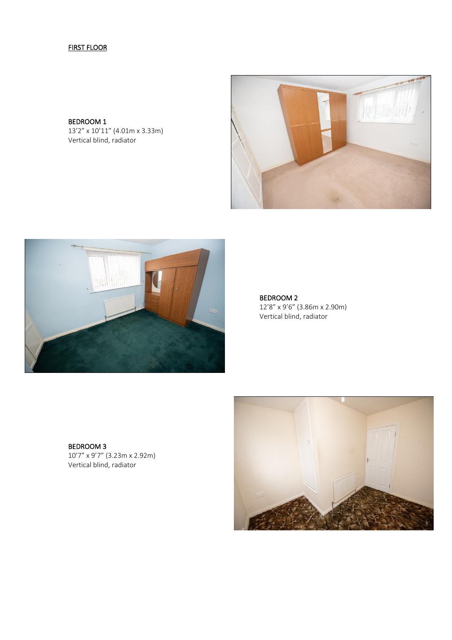## FIRST FLOOR

BEDROOM 1 13'2" x 10'11" (4.01m x 3.33m) Vertical blind, radiator





BEDROOM 2 12'8" x 9'6" (3.86m x 2.90m) Vertical blind, radiator

BEDROOM 3 10'7" x 9'7" (3.23m x 2.92m) Vertical blind, radiator